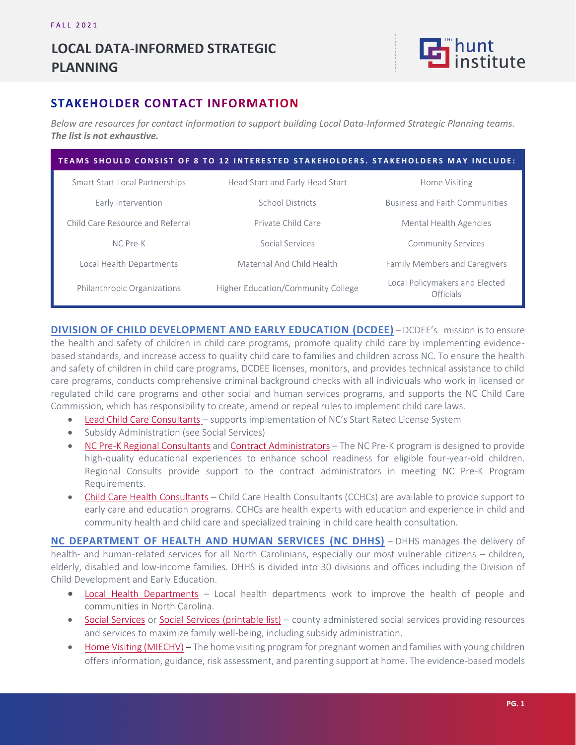## **LOCAL DATA-INFORMED STRATEGIC PLANNING**



## **STAKEHOLDER CONTACT INFORMATION**

*Below are resources for contact information to support building Local Data-Informed Strategic Planning teams. The list is not exhaustive.*

| TEAMS SHOULD CONSIST OF 8 TO 12 INTERESTED STAKEHOLDERS. STAKEHOLDERS MAY INCLUDE: |                                    |                                             |
|------------------------------------------------------------------------------------|------------------------------------|---------------------------------------------|
| Smart Start Local Partnerships                                                     | Head Start and Early Head Start    | Home Visiting                               |
| Early Intervention                                                                 | <b>School Districts</b>            | <b>Business and Faith Communities</b>       |
| Child Care Resource and Referral                                                   | Private Child Care                 | Mental Health Agencies                      |
| NC Pre-K                                                                           | Social Services                    | <b>Community Services</b>                   |
| Local Health Departments                                                           | Maternal And Child Health          | <b>Family Members and Caregivers</b>        |
| Philanthropic Organizations                                                        | Higher Education/Community College | Local Policymakers and Elected<br>Officials |

**[DIVISION OF CHILD DEVELOPMENT AND EARLY EDUCATION](https://ncchildcare.ncdhhs.gov/) (DCDEE)** – DCDEE's mission is to ensure the health and safety of children in child care programs, promote quality child care by implementing evidencebased standards, and increase access to quality child care to families and children across NC. To ensure the health and safety of children in child care programs, DCDEE licenses, monitors, and provides technical assistance to child care programs, conducts comprehensive criminal background checks with all individuals who work in licensed or regulated child care programs and other social and human services programs, and supports the NC Child Care Commission, which has responsibility to create, amend or repeal rules to implement child care laws.

- [Lead Child Care Consultants](https://ncchildcare.ncdhhs.gov/Portals/0/documents/pdf/L/Lead_Consultant_Contact_Information.pdf?ver=2020-08-11-112832-610) supports implementation of NC's Start Rated License System
- Subsidy Administration (see Social Services)
- [NC Pre-K Regional Consultants](https://ncchildcare.ncdhhs.gov/Portals/0/documents/pdf/N/NC_Pre-K_Program_Regions_MAP_Revised.pdf?ver=2020-05-19-082104-190) and [Contract Administrators](https://ncchildcare.ncdhhs.gov/Portals/0/documents/pdf/N/NC_PreK_Local_Contact_Information_all_contacts__18OCT21.pdf?ver=s3-phKGBhqwQUrUO4ttgFg%3d%3d) The NC Pre-K program is designed to provide high-quality educational experiences to enhance school readiness for eligible four-year-old children. Regional Consults provide support to the contract administrators in meeting NC Pre-K Program Requirements.
- [Child Care Health Consultants](https://healthychildcare.unc.edu/find-a-cchc/) Child Care Health Consultants (CCHCs) are available to provide support to early care and education programs. CCHCs are health experts with education and experience in child and community health and child care and specialized training in child care health consultation.

**[NC DEPARTMENT OF HEALTH AND HUMAN SERVICES](https://www.ncdhhs.gov/media/8937/download) (NC DHHS)** – DHHS manages the delivery of health- and human-related services for all North Carolinians, especially our most vulnerable citizens – children, elderly, disabled and low-income families. DHHS is divided into 30 divisions and offices including the Division of Child Development and Early Education.

- [Local Health Departments](https://www.ncdhhs.gov/divisions/public-health/county-health-departments) Local health departments work to improve the health of people and communities in North Carolina.
- [Social Services](https://www.ncdhhs.gov/divisions/social-services/local-dss-directory) or [Social Services \(printable list\)](https://www.ncdhhs.gov/media/8937/download) county administered social services providing resources and services to maximize family well-being, including subsidy administration.
- [Home Visiting \(MIECHV\)](https://publichealth.nc.gov/wch/aboutus/ebhv.htm) The home visiting program for pregnant women and families with young children offers information, guidance, risk assessment, and parenting support at home. The evidence-based models